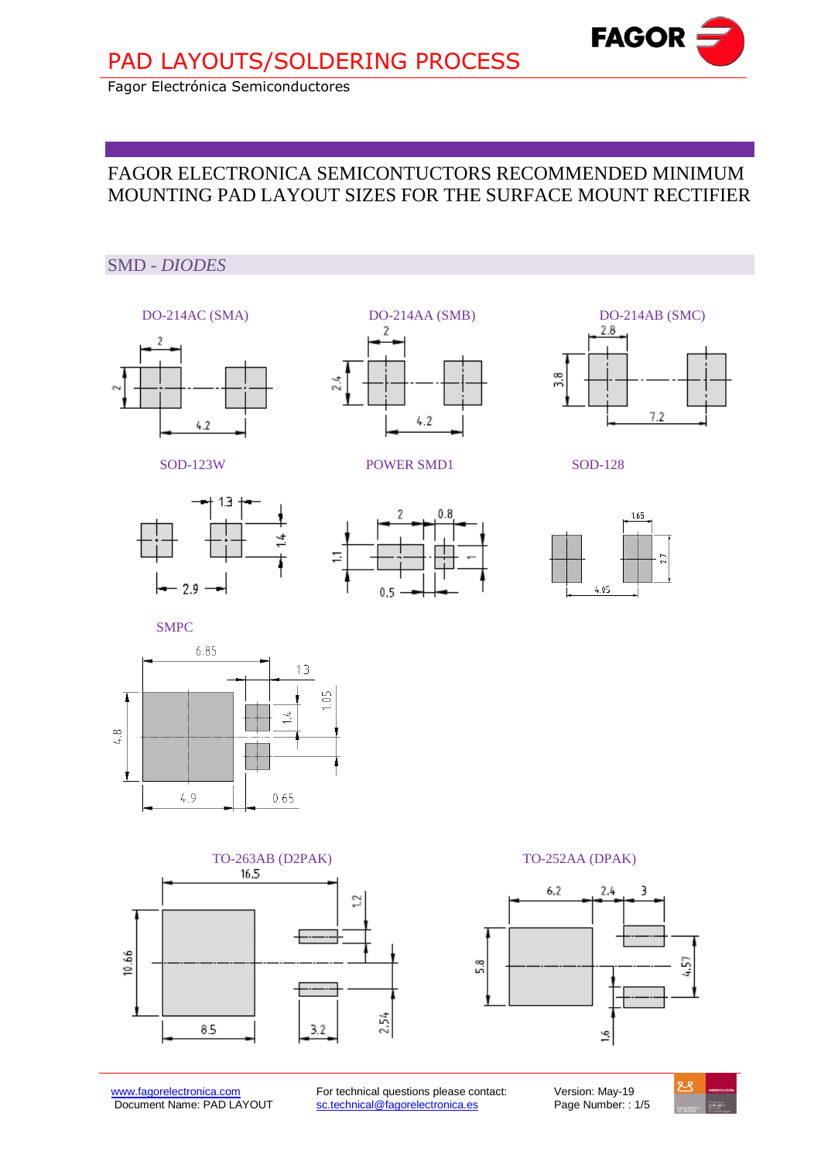

Fagor Electrónica Semiconductores

## FAGOR ELECTRONICA SEMICONTUCTORS RECOMMENDED MINIMUM MOUNTING PAD LAYOUT SIZES FOR THE SURFACE MOUNT RECTIFIER

## SMD - *DIODES*







SOD-123W POWER SMD1 SOD-128







SMPC







[www.fagorelectronica.com](http://www.fagorelectronica.com/) For technical questions please contact: Version: May-19<br>Document Name: PAD LAYOUT sc.technical@fagorelectronica.es Page Number: : 1/5 sc.technical@fagorelectronica.es

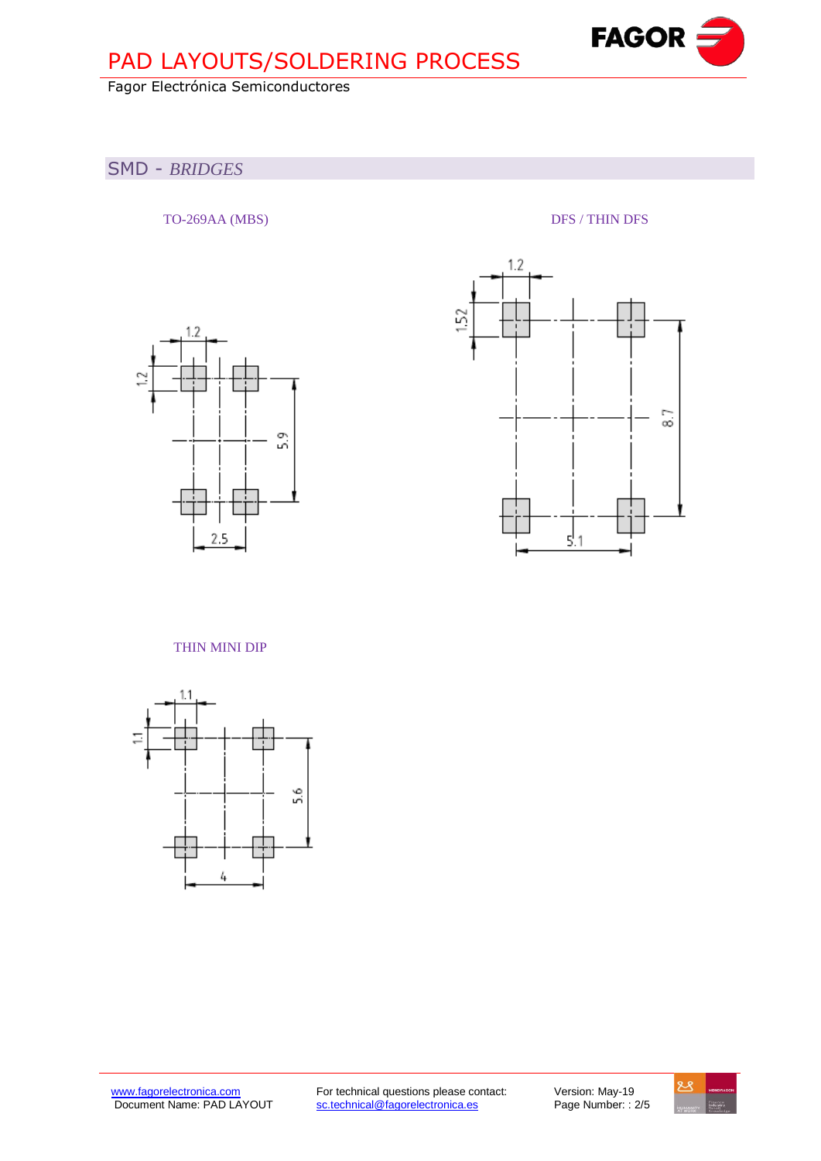# PAD LAYOUTS/SOLDERING PROCESS

## Fagor Electrónica Semiconductores

## SMD - *BRIDGES*

TO-269AA (MBS) DFS / THIN DFS

**FAGOR** 

**Fagor Electrónica, S. Coop.**





### THIN MINI DIP



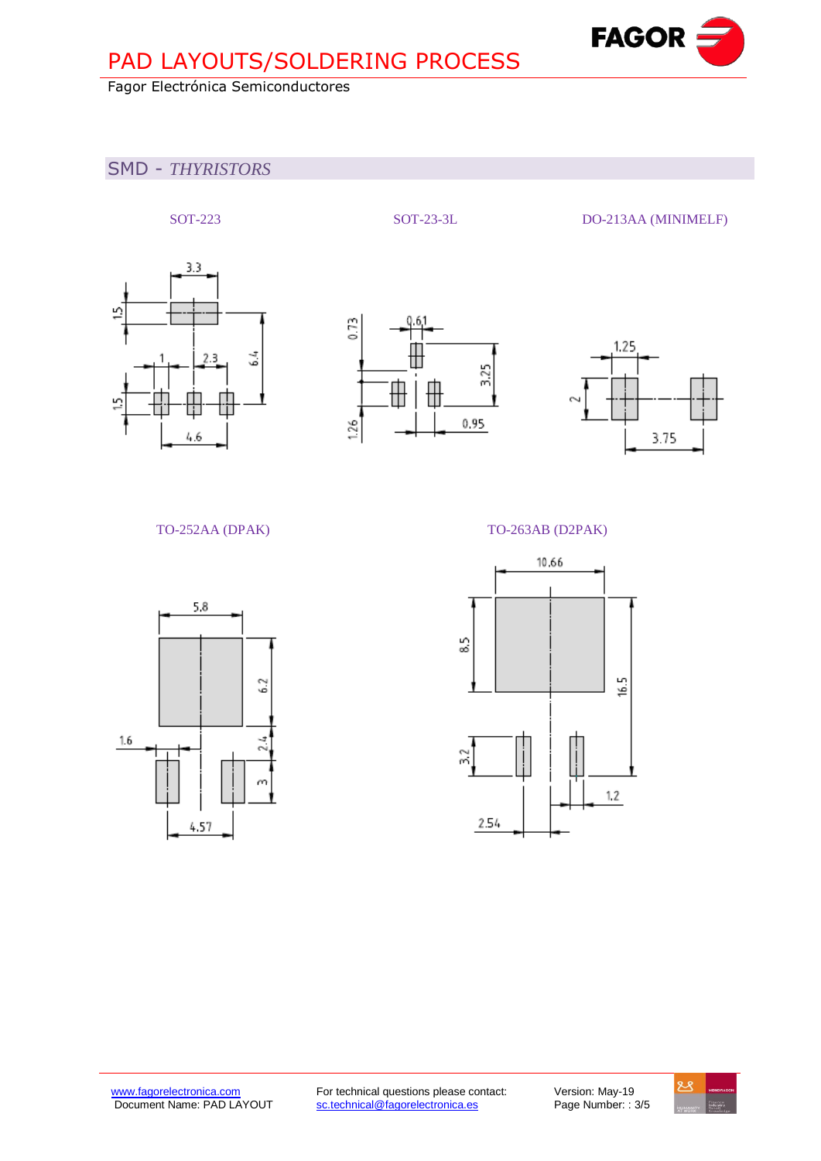# PAD LAYOUTS/SOLDERING PROCESS

## Fagor Electrónica Semiconductores

## SMD - *THYRISTORS*









**Fagor Electrónica, S. Coop.**

**FAGOR** 



### TO-252AA (DPAK) TO-263AB (D2PAK)



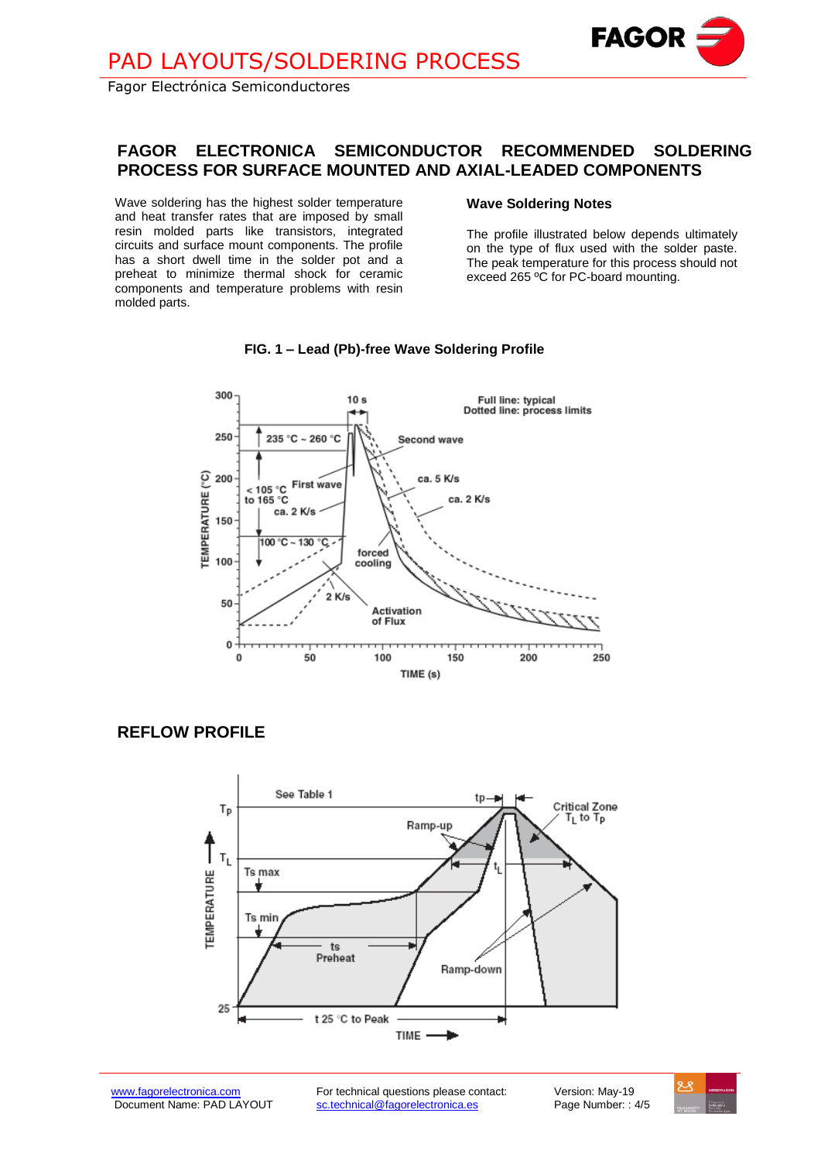Fagor Electrónica Semiconductores

## **FAGOR ELECTRONICA SEMICONDUCTOR RECOMMENDED SOLDERING PROCESS FOR SURFACE MOUNTED AND AXIAL-LEADED COMPONENTS**

Wave soldering has the highest solder temperature and heat transfer rates that are imposed by small resin molded parts like transistors, integrated circuits and surface mount components. The profile has a short dwell time in the solder pot and a preheat to minimize thermal shock for ceramic components and temperature problems with resin molded parts.

### **Wave Soldering Notes**

The profile illustrated below depends ultimately on the type of flux used with the solder paste. The peak temperature for this process should not exceed 265 ºC for PC-board mounting.

**Fagor Electrónica, S. Coop.**

**FAGOR** 



### **FIG. 1 – Lead (Pb)-free Wave Soldering Profile**

**REFLOW PROFILE**



[www.fagorelectronica.com](http://www.fagorelectronica.com/) For technical questions please contact: Version: May-19<br>Document Name: PAD LAYOUT sc.technical@fagorelectronica.es Page Number: : 4/5 sc.technical@fagorelectronica.es